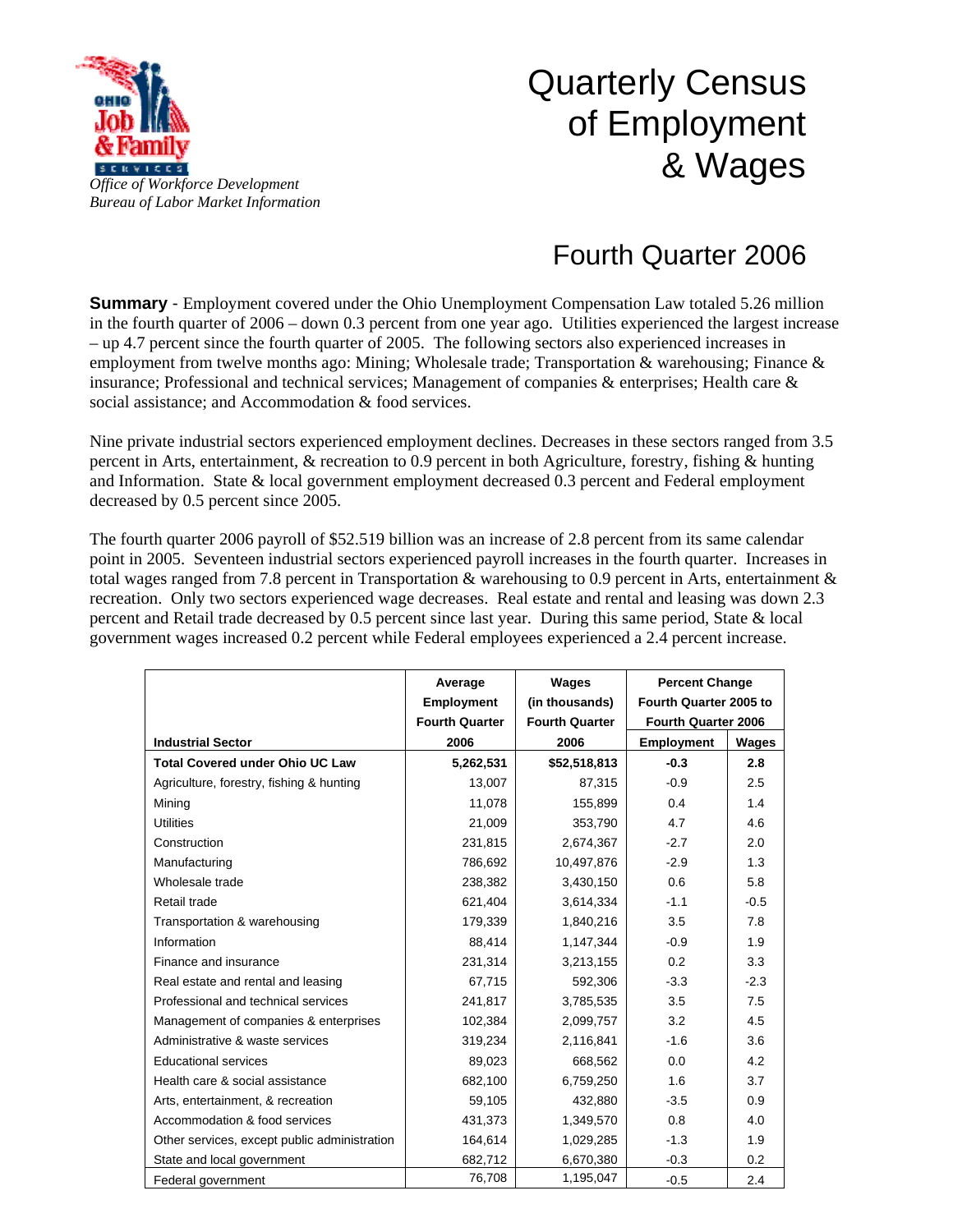

## Quarterly Census of Employment & Wages

## Fourth Quarter 2006

**Summary** - Employment covered under the Ohio Unemployment Compensation Law totaled 5.26 million in the fourth quarter of 2006 – down 0.3 percent from one year ago. Utilities experienced the largest increase – up 4.7 percent since the fourth quarter of 2005. The following sectors also experienced increases in employment from twelve months ago: Mining; Wholesale trade; Transportation & warehousing; Finance & insurance; Professional and technical services; Management of companies & enterprises; Health care & social assistance; and Accommodation & food services.

Nine private industrial sectors experienced employment declines. Decreases in these sectors ranged from 3.5 percent in Arts, entertainment, & recreation to 0.9 percent in both Agriculture, forestry, fishing & hunting and Information. State & local government employment decreased 0.3 percent and Federal employment decreased by 0.5 percent since 2005.

The fourth quarter 2006 payroll of \$52.519 billion was an increase of 2.8 percent from its same calendar point in 2005. Seventeen industrial sectors experienced payroll increases in the fourth quarter. Increases in total wages ranged from 7.8 percent in Transportation & warehousing to 0.9 percent in Arts, entertainment & recreation. Only two sectors experienced wage decreases. Real estate and rental and leasing was down 2.3 percent and Retail trade decreased by 0.5 percent since last year. During this same period, State & local government wages increased 0.2 percent while Federal employees experienced a 2.4 percent increase.

|                                              | Average               | Wages                 | <b>Percent Change</b><br>Fourth Quarter 2005 to |        |
|----------------------------------------------|-----------------------|-----------------------|-------------------------------------------------|--------|
|                                              | <b>Employment</b>     | (in thousands)        |                                                 |        |
|                                              | <b>Fourth Quarter</b> | <b>Fourth Quarter</b> | Fourth Quarter 2006                             |        |
| <b>Industrial Sector</b>                     | 2006                  | 2006                  | <b>Employment</b>                               | Wages  |
| <b>Total Covered under Ohio UC Law</b>       | 5,262,531             | \$52,518,813          | $-0.3$                                          | 2.8    |
| Agriculture, forestry, fishing & hunting     | 13,007                | 87,315                | $-0.9$                                          | 2.5    |
| Mining                                       | 11,078                | 155,899               | 0.4                                             | 1.4    |
| <b>Utilities</b>                             | 21,009                | 353,790               | 4.7                                             | 4.6    |
| Construction                                 | 231,815               | 2,674,367             | $-2.7$                                          | 2.0    |
| Manufacturing                                | 786,692               | 10,497,876            | $-2.9$                                          | 1.3    |
| Wholesale trade                              | 238,382               | 3,430,150             | 0.6                                             | 5.8    |
| Retail trade                                 | 621,404               | 3,614,334             | $-1.1$                                          | $-0.5$ |
| Transportation & warehousing                 | 179,339               | 1,840,216             | 3.5                                             | 7.8    |
| Information                                  | 88,414                | 1,147,344             | $-0.9$                                          | 1.9    |
| Finance and insurance                        | 231,314               | 3,213,155             | 0.2                                             | 3.3    |
| Real estate and rental and leasing           | 67,715                | 592,306               | $-3.3$                                          | $-2.3$ |
| Professional and technical services          | 241,817               | 3,785,535             | 3.5                                             | 7.5    |
| Management of companies & enterprises        | 102,384               | 2,099,757             | 3.2                                             | 4.5    |
| Administrative & waste services              | 319,234               | 2,116,841             | $-1.6$                                          | 3.6    |
| <b>Educational services</b>                  | 89,023                | 668,562               | 0.0                                             | 4.2    |
| Health care & social assistance              | 682,100               | 6,759,250             | 1.6                                             | 3.7    |
| Arts, entertainment, & recreation            | 59,105                | 432,880               | $-3.5$                                          | 0.9    |
| Accommodation & food services                | 431,373               | 1,349,570             | 0.8                                             | 4.0    |
| Other services, except public administration | 164,614               | 1,029,285             | $-1.3$                                          | 1.9    |
| State and local government                   | 682,712               | 6,670,380             | $-0.3$                                          | 0.2    |
| Federal government                           | 76,708                | 1,195,047             | $-0.5$                                          | 2.4    |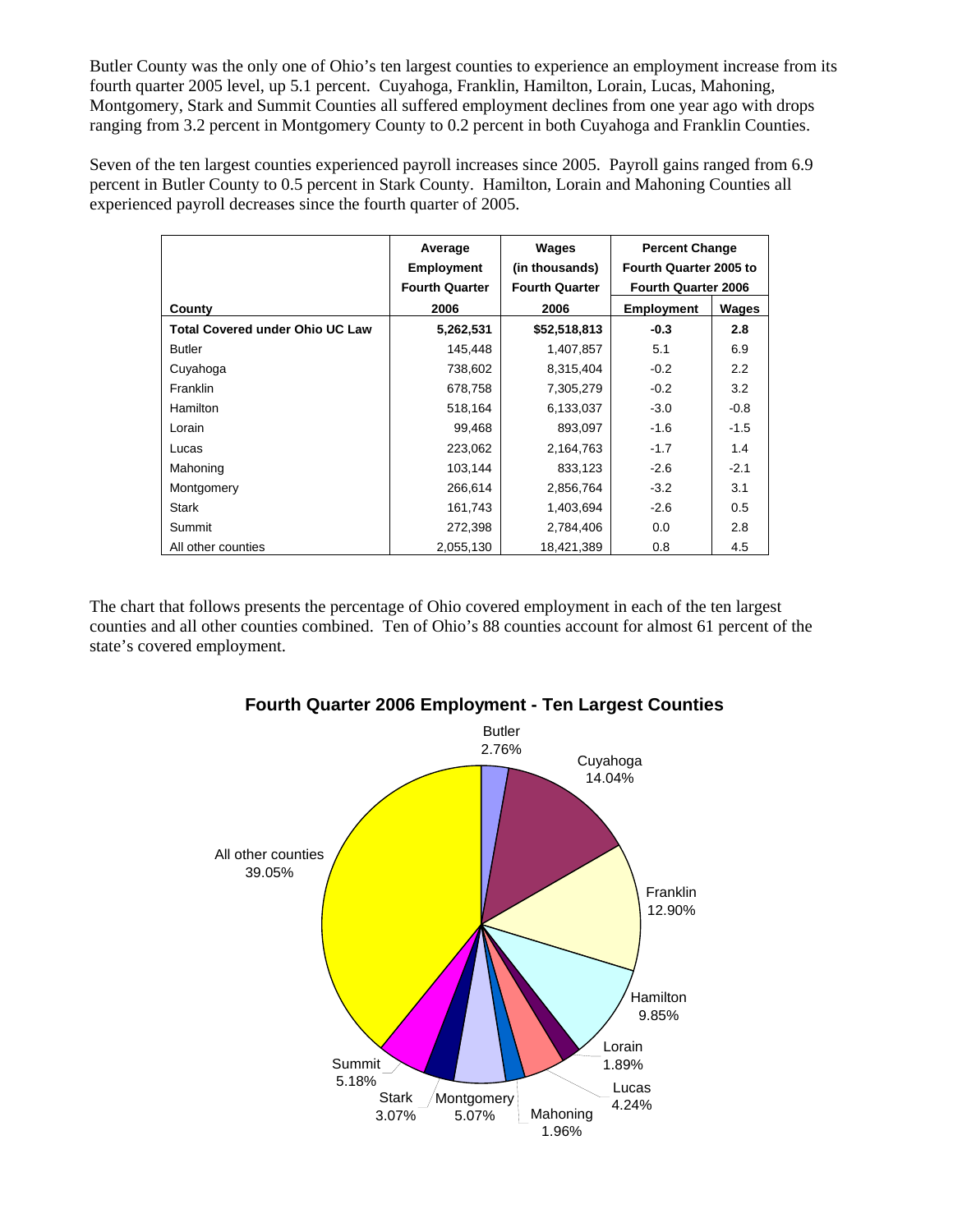Butler County was the only one of Ohio's ten largest counties to experience an employment increase from its fourth quarter 2005 level, up 5.1 percent. Cuyahoga, Franklin, Hamilton, Lorain, Lucas, Mahoning, Montgomery, Stark and Summit Counties all suffered employment declines from one year ago with drops ranging from 3.2 percent in Montgomery County to 0.2 percent in both Cuyahoga and Franklin Counties.

Seven of the ten largest counties experienced payroll increases since 2005. Payroll gains ranged from 6.9 percent in Butler County to 0.5 percent in Stark County. Hamilton, Lorain and Mahoning Counties all experienced payroll decreases since the fourth quarter of 2005.

|                                        | Average<br><b>Employment</b> | Wages<br>(in thousands) | <b>Percent Change</b><br>Fourth Quarter 2005 to<br><b>Fourth Quarter 2006</b> |        |
|----------------------------------------|------------------------------|-------------------------|-------------------------------------------------------------------------------|--------|
|                                        | <b>Fourth Quarter</b>        | <b>Fourth Quarter</b>   |                                                                               |        |
| County                                 | 2006                         | 2006                    | <b>Employment</b>                                                             | Wages  |
| <b>Total Covered under Ohio UC Law</b> | 5,262,531                    | \$52,518,813            | $-0.3$                                                                        | 2.8    |
| Butler                                 | 145,448                      | 1,407,857               | 5.1                                                                           | 6.9    |
| Cuyahoga                               | 738,602                      | 8,315,404               | $-0.2$                                                                        | 2.2    |
| Franklin                               | 678,758                      | 7,305,279               | $-0.2$                                                                        | 3.2    |
| Hamilton                               | 518,164                      | 6,133,037               | $-3.0$                                                                        | $-0.8$ |
| Lorain                                 | 99,468                       | 893,097                 | $-1.6$                                                                        | $-1.5$ |
| Lucas                                  | 223,062                      | 2,164,763               | $-1.7$                                                                        | 1.4    |
| Mahoning                               | 103,144                      | 833,123                 | $-2.6$                                                                        | $-2.1$ |
| Montgomery                             | 266,614                      | 2,856,764               | $-3.2$                                                                        | 3.1    |
| <b>Stark</b>                           | 161,743                      | 1,403,694               | $-2.6$                                                                        | 0.5    |
| Summit                                 | 272,398                      | 2,784,406               | 0.0                                                                           | 2.8    |
| All other counties                     | 2,055,130                    | 18,421,389              | 0.8                                                                           | 4.5    |

The chart that follows presents the percentage of Ohio covered employment in each of the ten largest counties and all other counties combined. Ten of Ohio's 88 counties account for almost 61 percent of the state's covered employment.



## **Fourth Quarter 2006 Employment - Ten Largest Counties**